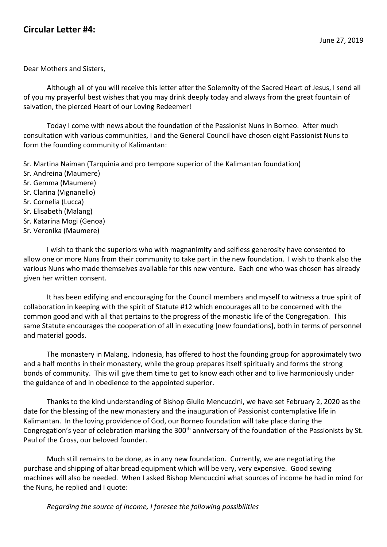Dear Mothers and Sisters,

Although all of you will receive this letter after the Solemnity of the Sacred Heart of Jesus, I send all of you my prayerful best wishes that you may drink deeply today and always from the great fountain of salvation, the pierced Heart of our Loving Redeemer!

Today I come with news about the foundation of the Passionist Nuns in Borneo. After much consultation with various communities, I and the General Council have chosen eight Passionist Nuns to form the founding community of Kalimantan:

Sr. Martina Naiman (Tarquinia and pro tempore superior of the Kalimantan foundation)

- Sr. Andreina (Maumere)
- Sr. Gemma (Maumere)
- Sr. Clarina (Vignanello)
- Sr. Cornelia (Lucca)
- Sr. Elisabeth (Malang)
- Sr. Katarina Mogi (Genoa)
- Sr. Veronika (Maumere)

I wish to thank the superiors who with magnanimity and selfless generosity have consented to allow one or more Nuns from their community to take part in the new foundation. I wish to thank also the various Nuns who made themselves available for this new venture. Each one who was chosen has already given her written consent.

It has been edifying and encouraging for the Council members and myself to witness a true spirit of collaboration in keeping with the spirit of Statute #12 which encourages all to be concerned with the common good and with all that pertains to the progress of the monastic life of the Congregation. This same Statute encourages the cooperation of all in executing [new foundations], both in terms of personnel and material goods.

The monastery in Malang, Indonesia, has offered to host the founding group for approximately two and a half months in their monastery, while the group prepares itself spiritually and forms the strong bonds of community. This will give them time to get to know each other and to live harmoniously under the guidance of and in obedience to the appointed superior.

Thanks to the kind understanding of Bishop Giulio Mencuccini, we have set February 2, 2020 as the date for the blessing of the new monastery and the inauguration of Passionist contemplative life in Kalimantan. In the loving providence of God, our Borneo foundation will take place during the Congregation's year of celebration marking the 300<sup>th</sup> anniversary of the foundation of the Passionists by St. Paul of the Cross, our beloved founder.

Much still remains to be done, as in any new foundation. Currently, we are negotiating the purchase and shipping of altar bread equipment which will be very, very expensive. Good sewing machines will also be needed. When I asked Bishop Mencuccini what sources of income he had in mind for the Nuns, he replied and I quote:

*Regarding the source of income, I foresee the following possibilities*